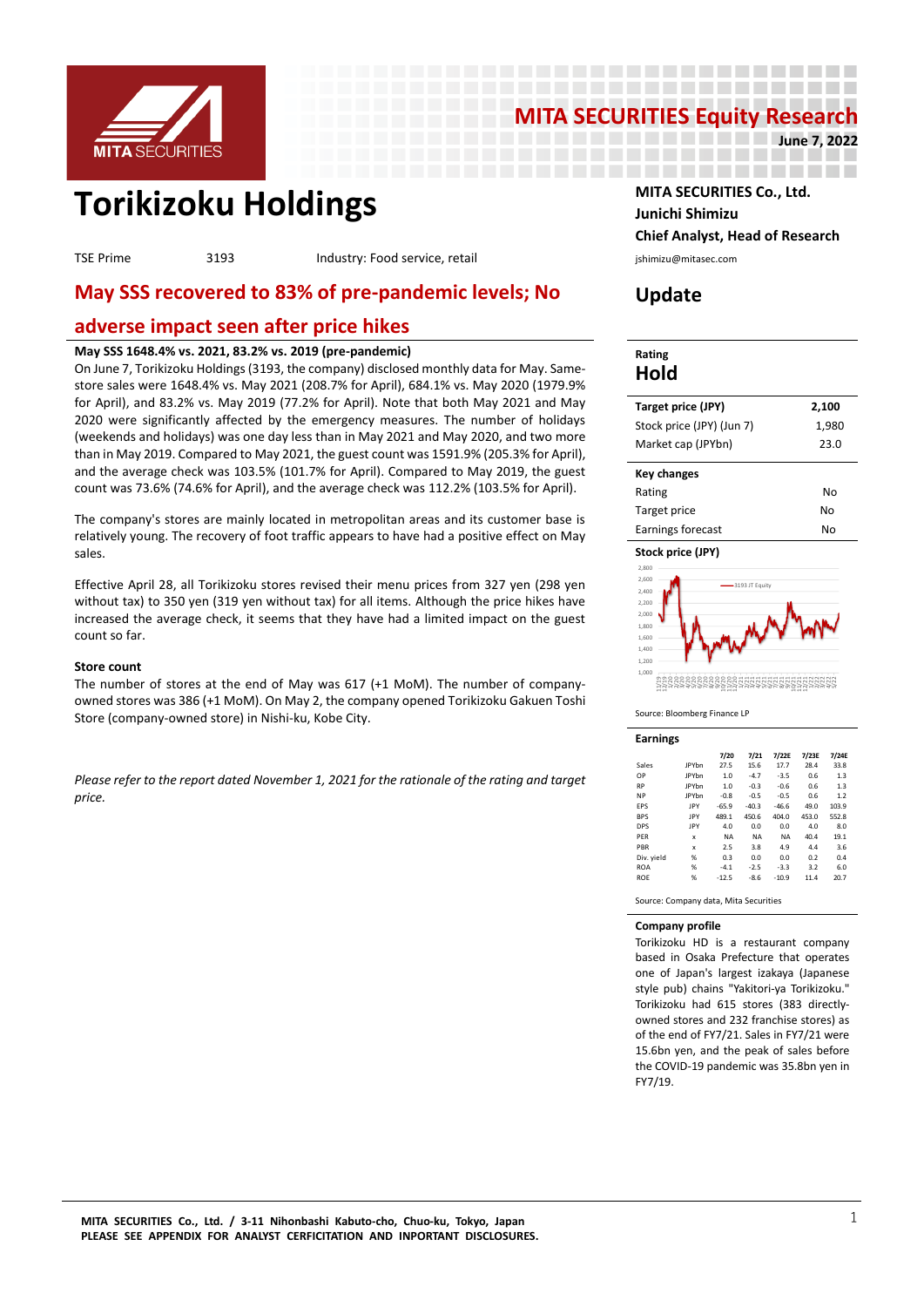

# **MITA SECURITIES Equity Research**

---------------------. . . . . . . . . . . . . . . . . . . .

-------------

**June 7, 2022**

# **Torikizoku Holdings MITA SECURITIES Co., Ltd.**

TSE Prime 3193 Industry: Food service, retail interventional primizu@mitasec.com

## **May SSS recovered to 83% of pre-pandemic levels; No**

### **adverse impact seen after price hikes**

#### **May SSS 1648.4% vs. 2021, 83.2% vs. 2019 (pre-pandemic)**

On June 7, Torikizoku Holdings (3193, the company) disclosed monthly data for May. Samestore sales were 1648.4% vs. May 2021 (208.7% for April), 684.1% vs. May 2020 (1979.9% for April), and 83.2% vs. May 2019 (77.2% for April). Note that both May 2021 and May 2020 were significantly affected by the emergency measures. The number of holidays (weekends and holidays) was one day less than in May 2021 and May 2020, and two more than in May 2019. Compared to May 2021, the guest count was 1591.9% (205.3% for April), and the average check was 103.5% (101.7% for April). Compared to May 2019, the guest count was 73.6% (74.6% for April), and the average check was 112.2% (103.5% for April).

The company's stores are mainly located in metropolitan areas and its customer base is relatively young. The recovery of foot traffic appears to have had a positive effect on May sales.

Effective April 28, all Torikizoku stores revised their menu prices from 327 yen (298 yen without tax) to 350 yen (319 yen without tax) for all items. Although the price hikes have increased the average check, it seems that they have had a limited impact on the guest count so far.

#### **Store count**

The number of stores at the end of May was 617 (+1 MoM). The number of companyowned stores was 386 (+1 MoM). On May 2, the company opened Torikizoku Gakuen Toshi Store (company-owned store) in Nishi-ku, Kobe City.

*Please refer to the report dated November 1, 2021 for the rationale of the rating and target price.*

# **Junichi Shimizu Chief Analyst, Head of Research**

# **Update**

-----------------

#### **Rating Hold**

| Target price (JPY)        | 2,100 |
|---------------------------|-------|
| Stock price (JPY) (Jun 7) | 1,980 |
| Market cap (JPYbn)        | 23.0  |
|                           |       |
| <b>Key changes</b>        |       |
| Rating                    | No    |
| Target price              | N٥    |

# **Stock price (JPY)**



Earnings forecast No

Source: Bloomberg Finance LP

| <b>Earnings</b> |              |           |           |           |       |       |
|-----------------|--------------|-----------|-----------|-----------|-------|-------|
|                 |              | 7/20      | 7/21      | 7/22E     | 7/23E | 7/24E |
| Sales           | <b>JPYbn</b> | 27.5      | 15.6      | 17.7      | 28.4  | 33.8  |
| OP              | <b>JPYbn</b> | 1.0       | $-4.7$    | $-3.5$    | 0.6   | 1.3   |
| <b>RP</b>       | <b>JPYbn</b> | 1.0       | $-0.3$    | $-0.6$    | 0.6   | 1.3   |
| <b>NP</b>       | <b>IPYhn</b> | $-0.8$    | $-0.5$    | $-0.5$    | 0.6   | 1.2   |
| EPS             | JPY          | $-65.9$   | $-40.3$   | $-46.6$   | 49.0  | 103.9 |
| <b>BPS</b>      | <b>IPY</b>   | 489.1     | 450.6     | 404.0     | 453.0 | 552.8 |
| <b>DPS</b>      | <b>IPY</b>   | 4.0       | 0.0       | 0.0       | 4.0   | 8.0   |
| PFR             | x            | <b>NA</b> | <b>NA</b> | <b>NA</b> | 40.4  | 19.1  |
| PBR             | x            | 2.5       | 3.8       | 4.9       | 4.4   | 3.6   |
| Div. yield      | %            | 0.3       | 0.0       | 0.0       | 0.2   | 0.4   |
| <b>ROA</b>      | %            | $-4.1$    | $-2.5$    | $-3.3$    | 3.2   | 6.0   |
| <b>ROE</b>      | %            | $-12.5$   | $-8.6$    | $-10.9$   | 11.4  | 20.7  |

Source: Company data, Mita Securities

#### **Company profile**

Torikizoku HD is a restaurant company based in Osaka Prefecture that operates one of Japan's largest izakaya (Japanese style pub) chains "Yakitori-ya Torikizoku." Torikizoku had 615 stores (383 directlyowned stores and 232 franchise stores) as of the end of FY7/21. Sales in FY7/21 were 15.6bn yen, and the peak of sales before the COVID-19 pandemic was 35.8bn yen in FY7/19.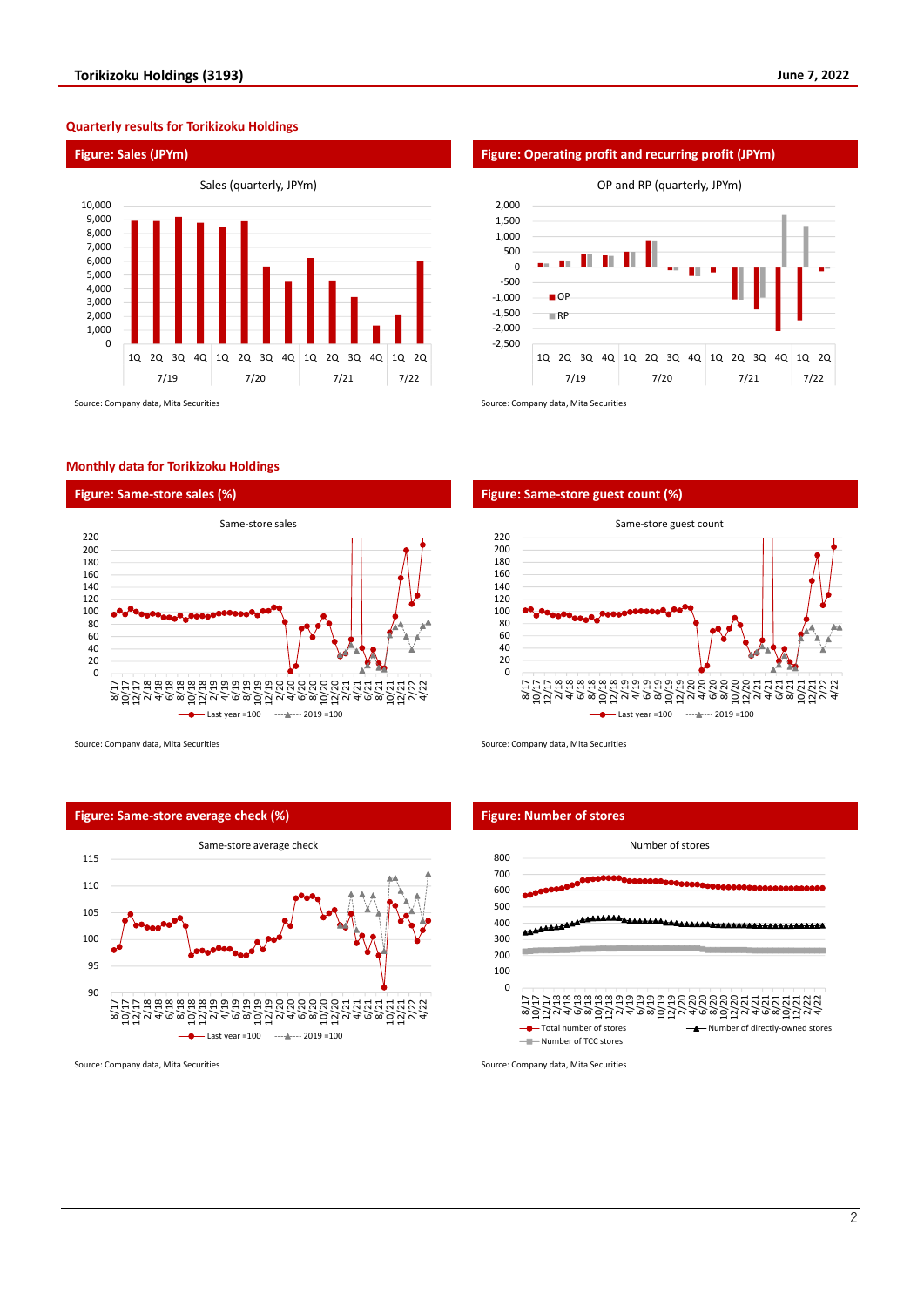#### **Quarterly results for Torikizoku Holdings**



#### **Monthly data for Torikizoku Holdings**





Source: Company data, Mita Securities Source: Company data, Mita Securities Source: Company data, Mita Securities

#### **Figure: Same-store average check (%) Figure: Number of stores**



#### **Figure: Sales (JPYm) Figure: Operating profit and recurring profit (JPYm)**



#### **Figure: Same-store sales (%) Figure: Same-store guest count (%)**





Source: Company data, Mita Securities Source: Company data, Mita Securities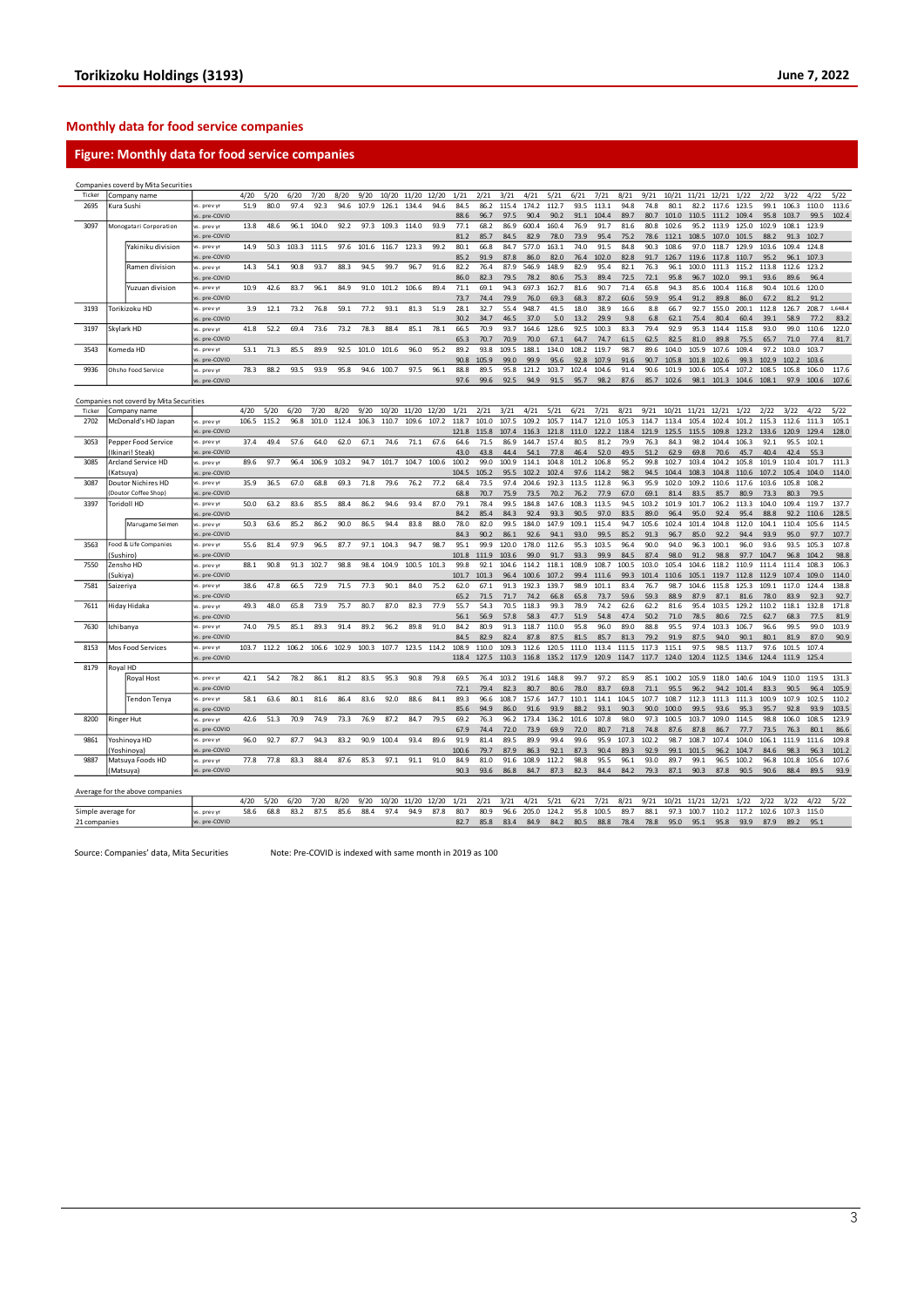#### **Monthly data for food service companies**

#### **Figure: Monthly data for food service companies**

|                    |                                         | Companies coverd by Mita Securities |                              |       |       |       |       |       |       |       |       |       |               |              |               |               |               |               |                   |              |              |               |                   |               |               |               |                         |               |         |
|--------------------|-----------------------------------------|-------------------------------------|------------------------------|-------|-------|-------|-------|-------|-------|-------|-------|-------|---------------|--------------|---------------|---------------|---------------|---------------|-------------------|--------------|--------------|---------------|-------------------|---------------|---------------|---------------|-------------------------|---------------|---------|
| Ticker             |                                         | Company name                        |                              | 4/20  | 5/20  | 6/20  | 7/20  | 8/20  | 9/20  | 10/20 | 11/20 | 12/20 | 1/21          | 2/21         | 3/21          | 4/21          | 5/21          | 6/21          | 7/21              | 8/21         | 9/21         | 10/21         | 11/21             | 12/21         | 1/22          | 2/22          | 3/22                    | 4/22          | 5/22    |
| 2695               | Kura Sushi                              |                                     | vs. prev vi                  | 51.9  | 80.0  | 97.4  | 92.3  | 94.6  | 107.9 | 126.1 | 134.4 | 94.6  | 84.5          | 86.2         | 115.4         | 174.2         | 112.7         | 93.5          | 113.1             | 94.8         | 74.8         | 80.1          | 82.2              | 117.6         | 123.5         | 99.1          | 106.3                   | 110.0         | 113.6   |
|                    |                                         |                                     | vs. pre-COVID                |       |       |       |       |       |       |       |       |       | 88.6          | 96.7         | 97.5          | 90.4          | 90.2          | 91.1          | 104.4             | 89.7         | 80.7         | 101.0         | 110.5             | 111.2         | 109.4         | 95.8          | 103.7                   | 99.5          | 102.4   |
| 3097               |                                         | Monogatari Corporation              | vs. prev y                   | 13.8  | 48.6  | 96.1  | 104.0 | 92.2  | 97.3  | 109.3 | 114.0 | 93.9  | 77.1          | 68.2         | 86.9          | 600.4         | 160.4         | 76.9          | 91.7              | 81.6         | 80.8         | 102.6         | 95.2              | 113.9         | 125.0         | 102.9         | 108.1                   | 123.9         |         |
|                    |                                         |                                     | s. pre-COVID                 |       |       |       |       |       |       |       |       |       | 81.2          | 85.7         | 84.5          | 82.9          | 78.0          | 73.9          | 95.4              | 75.2         | 78.6         | 112.1         | 108.5             | 107.0         | 101.5         | 88.2          | 91.3                    | 102.7         |         |
|                    |                                         | Yakiniku division                   | vs. prev yr                  | 14.9  | 50.3  | 103.3 | 111.5 | 97.6  | 101.6 | 116.7 | 123.3 | 99.2  | 80.1          | 66.8         | 84.7          | 577.0         | 163.1         | 74.0          | 91.5              | 84.8         | 90.3         | 108.6         | 97.0              | 118.7         | 129.9         | 103.6         | 109.4                   | 124.8         |         |
|                    |                                         |                                     | vs. pre-COVID                |       |       |       |       |       |       |       |       |       | 85.2          | 91.9         | 87.8          | 86.0          | 82.0          | 76.4          | 102.0             | 82.8         | 91.7         | 126.7         | 119.6             | 117.8         | 110.7         | 95.2          | 96.1                    | 107.3         |         |
|                    |                                         | Ramen division                      | vs. prev v                   | 14.3  | 54.1  | 90.8  | 93.7  | 88.3  | 94.5  | 99.7  | 96.7  | 91.6  | 82.2          | 76.4         | 87.9          | 546.9         | 148.9         | 82.9          | 95.4              | 82.1         | 76.3         | 96.1          | 100.0             | 111.3         | 115.2         | 113.8         | 112.6                   | 123.2         |         |
|                    |                                         |                                     | vs. pre-COVID                |       |       |       |       |       |       |       |       |       | 86.0          | 82.3         | 79.5          | 78.2          | 80.6          | 75.3          | 89.4              | 72.5         | 72.1         | 95.8          | 96.7              | 102.0         | 99.1          | 93.6          | 89.6                    | 96.4          |         |
|                    |                                         | Yuzuan division                     | vs. prev v                   | 10.9  | 42.6  | 83.7  | 96.1  | 84.9  | 91.0  | 101.2 | 106.6 | 89.4  | 71.1          | 69.1         | 94.3          | 697.3         | 162.7         | 81.6          | 90.7              | 71.4         | 65.8         | 94.3          | 85.6              | 100.4         | 116.8         | 90.4          | 101.6                   | 120.0         |         |
|                    |                                         |                                     | vs. pre-COVID                |       |       |       |       |       |       |       |       |       | 73.7          | 74.4         | 79.9          | 76.0          | 69.3          | 68.3          | 87.2              | 60.6         | 59.9         | 95.4          | 91.2              | 89.8          | 86.0          | 67.2          | 81.2                    | 91.2          |         |
| 3193               |                                         | Torikizoku HD                       | vs. prev vi                  | 3.9   | 12.1  | 73.2  | 76.8  | 59.1  | 77.2  | 93.1  | 81.3  | 51.9  | 28.1          | 32.7         | 55.4          | 948.7         | 41.5          | 18.0          | 38.9              | 16.6         | 8.8          | 66.7          | 92.7              | 155.0         | 200.1         | 112.8         | 126.7                   | 208.7         | 1,648.4 |
|                    |                                         |                                     | vs. pre-COVID                |       |       |       |       |       |       |       |       |       | 30.2          | 34.7         | 46.5          | 37.0          | 5.0           | 13.2          | 29.9              | 9.8          | 6.8          | 62.1          | 75.4              | 80.4          | 60.4          | 39.1          | 58.9                    | 77.2          | 83.2    |
| 3197               |                                         | Skylark HD                          | vs. prev vr                  | 41.8  | 52.2  | 69.4  | 73.6  | 73.2  | 78.3  | 88.4  | 85.1  | 78.1  | 66.5          | 70.9         | 93.7          | 164.6         | 128.6         | 92.5          | 100.3             | 83.3         | 79.4         | 92.9          | 95.3              | 114.4         | 115.8         | 93.0          | 99.0                    | 110.6         | 122.0   |
|                    |                                         |                                     | vs. pre-COVID                |       |       |       |       |       |       |       |       |       | 65.3          | 70.7         | 70.9          | 70.0          | 67.1          | 64.7          | 74.7              | 61.5         | 62.5         | 82.5          | 81.0              | 89.8          | 75.5          | 65.7          | 71.0                    | 77.4          | 81.7    |
| 3543               |                                         | Comeda HD                           | vs. prev y                   | 53.1  | 71.3  | 85.5  | 89.9  | 92.5  | 101.0 | 101.6 | 96.0  | 95.2  | 89.2          | 93.8         | 109.5         | 188.1         | 134.0         | 108.2         | 119.7             | 98.7         | 89.6         | 104.0         | 105.9             | 107.6         | 109.4         | 97.2          | 103.0                   | 103.7         |         |
|                    |                                         |                                     | vs. pre-COVID                |       |       |       |       |       |       |       |       |       | 90.8          | 105.9        | 99.0          | 99.9          | 95.6          | 92.8          | 107.9             | 91.6         | 90.7         | 105.8         | 101.8             | 102.6         | 99.3          | 102.9         | 102.2                   | 103.6         |         |
| 9936               |                                         | Ohsho Food Service                  | vs. prev v                   | 78.3  | 88.2  | 93.5  | 93.9  | 95.8  | 94.6  | 100.7 | 97.5  | 96.1  | 88.8          | 89.5         | 95.8          | 121.2         | 103.7         | 102.4         | 104.6             | 91.4         | 90.6         | 101.9         | 100.6             | 105.4         | 107.2         | 108.5         | 105.8                   | 106.0         | 117.6   |
|                    |                                         |                                     | vs. pre-COVID                |       |       |       |       |       |       |       |       |       | 97.6          | 99.6         | 92.5          | 94.9          | 91.5          | 95.7          | 98.2              | 87.6         | 85.7         | 102.6         | 98.1              | 101.3         | 104.6 108.1   |               | 97.9                    | 100.6         | 107.6   |
|                    | Companies not coverd by Mita Securities |                                     |                              |       |       |       |       |       |       |       |       |       |               |              |               |               |               |               |                   |              |              |               |                   |               |               |               |                         |               |         |
|                    |                                         |                                     |                              |       |       |       |       |       |       |       |       |       |               |              |               |               |               |               |                   |              |              |               |                   |               |               |               |                         |               |         |
| Ticker             |                                         | Company name                        |                              | 4/20  | 5/20  | 6/20  | 7/20  | 8/20  | 9/20  | 10/20 | 11/20 | 12/20 | 1/21          | 2/21         | 3/21          | 4/21          | 5/21          | 6/21          | 7/21              | 8/21         | 9/21         | 10/21         | 11/21             | 12/21         | 1/22          | 2/22          | 3/22                    | 4/22          | 5/22    |
| 2702               |                                         | McDonald's HD Japan                 | vs. prev yr                  | 106.5 | 115.2 | 96.8  | 101.0 | 112.4 | 106.3 | 110.7 | 109.6 | 107.2 | 118.7         | 101.0        | 107.5         | 109.2         | 105.7         | 114.7         | 121.0             | 105.3        | 114.7        | 113.4         | 105.4             | 102.4         | 101.2         | 115.3         | 112.6                   | 111.3         | 105.1   |
|                    |                                         |                                     | vs. pre-COVID                |       |       |       |       |       |       |       |       |       | 121.8         | 115.8        | 107.4         | 116.3         | 121.8         | 111.0         | 122.2             | 118.4        | 121.9        | 125.5         | 115.5             | 109.8         | 123.2         | 133.6         | 120.9                   | 129.4         | 128.0   |
| 3053               |                                         | Pepper Food Service                 | vs. prev y                   | 37.4  | 49.4  | 57.6  | 64.0  | 62.0  | 67.1  | 74.6  | 71.1  | 67.6  | 64.6          | 71.5         | 86.9          | 144.7         | 157.4         | 80.5          | 81.2              | 79.9         | 76.3         | 84.3          | 98.2              | 104.4         | 106.3         | 92.1          | 95.5                    | 102.1         |         |
| 3085               |                                         | Ikinari! Steak)                     | vs. pre-COVID                | 89.6  | 97.7  | 96.4  | 106.9 | 103.2 | 94.7  | 101.7 | 104.7 | 100.6 | 43.0<br>100.2 | 43.8<br>99.0 | 44.4<br>100.9 | 54.1<br>114.1 | 77.8<br>104.8 | 46.4<br>101.2 | 52.0<br>106.8     | 49.5<br>95.2 | 51.2<br>99.8 | 62.9<br>102.7 | 69.8<br>103.4     | 70.6<br>104.2 | 45.7<br>105.8 | 40.4<br>101.9 | 42.4<br>110.4           | 55.3<br>101.7 | 111.3   |
|                    |                                         | Arcland Service HD                  | vs. prev vr<br>vs. pre-COVID |       |       |       |       |       |       |       |       |       | 104.5         | 105.2        | 95.5          | 102.2         | 102.4         | 97.6          | 114.2             | 98.2         | 94.5         | 104.4         | 108.3             | 104.8         | 110.6         | 107.2         | 105.4                   | 104.0         | 114.0   |
| 3087               | Katsuya)                                | Doutor Nichires HD                  | vs. prev y                   | 35.9  | 36.5  | 67.0  | 68.8  | 69.3  | 71.8  | 79.6  | 76.2  | 77.2  | 68.4          | 73.5         | 97.4          | 204.6         | 192.3         | 113.5         | 112.8             | 96.3         | 95.9         | 102.0         | 109.2             | 110.6         | 117.6         | 103.6         | 105.8                   | 108.2         |         |
|                    |                                         | Doutor Coffee Shop)                 | vs. pre-COVID                |       |       |       |       |       |       |       |       |       | 68.8          | 70.7         | 75.9          | 73.5          | 70.2          | 76.2          | 77.9              | 67.0         | 69.1         | 81.4          | 83.5              | 85.7          | 80.9          | 73.3          | 80.3                    | 79.5          |         |
| 3397               |                                         | <b>Toridoll HD</b>                  | vs. prev yr                  | 50.0  | 63.2  | 83.6  | 85.5  | 88.4  | 86.2  | 94.6  | 93.4  | 87.0  | 79.1          | 78.4         | 99.5          | 184.8         | 147.6         | 108.3         | 113.5             | 94.5         | 103.2        | 101.9         | 101.7             | 106.2         | 113.3         | 104.0         | 109.4                   | 119.7         | 137.7   |
|                    |                                         |                                     | vs. pre-COVID                |       |       |       |       |       |       |       |       |       | 84.2          | 85.4         | 84.3          | 92.4          | 93.3          | 90.5          | 97.0              | 83.5         | 89.0         | 96.4          | 95.0              | 92.4          | 95.4          | 88.8          | 92.2                    | 110.6         | 128.5   |
|                    |                                         | Marugame Seimen                     | vs. prev vr                  | 50.3  | 63.6  | 85.2  | 86.2  | 90.0  | 86.5  | 94.4  | 83.8  | 88.0  | 78.0          | 82.0         | 99.5          | 184.0         | 147.9         | 109.1         | 115.4             | 94.7         | 105.6        | 102.4         | 101.4             | 104.8         | 112.0         | 104.1         | 110.4                   | 105.6         | 114.5   |
|                    |                                         |                                     | vs. pre-COVID                |       |       |       |       |       |       |       |       |       | 84.3          | 90.2         | 86.1          | 92.6          | 94.1          | 93.0          | 99.5              | 85.2         | 91.3         | 96.7          | 85.0              | 92.2          | 94.4          | 93.9          | 95.0                    | 97.7          | 107.7   |
| 3563               |                                         | ood & Life Companies                | vs. prev yr                  | 55.6  | 81.4  | 97.9  | 96.5  | 87.7  | 97.1  | 104.3 | 94.7  | 98.7  | 95.1          | 99.9         | 120.0         | 178.0         | 112.6         | 95.3          | 103.5             | 96.4         | 90.0         | 94.0          | 96.3              | 100.1         | 96.0          | 93.6          | 93.5                    | 105.3         | 107.8   |
|                    | Sushiro)                                |                                     | vs. pre-COVID                |       |       |       |       |       |       |       |       |       | 101.8         | 111.9        | 103.6         | 99.0          | 91.7          | 93.3          | 99.9              | 84.5         | 87.4         | 98.0          | 91.2              | 98.8          | 97.7          | 104.7         | 96.8                    | 104.2         | 98.8    |
| 7550               |                                         | Zensho HD                           | vs. prev y                   | 88.1  | 90.8  | 91.3  | 102.7 | 98.8  | 98.4  | 104.9 | 100.5 | 101.3 | 99.8          | 92.1         | 104.6         | 114.2         | 118.1         | 108.9         | 108.7             | 100.5        | 103.0        | 105.4         | 104.6             | 118.2         | 110.9         | 111.4         | 111.4                   | 108.3         | 106.3   |
|                    | Sukiya)                                 |                                     | vs. pre-COVID                |       |       |       |       |       |       |       |       |       | 101.7         | 101.3        | 96.4          | 100.6         | 107.2         | 99.4          | 111.6             | 99.3         | 101.4        | 110.6         | 105.1             | 119.7         | 112.8         | 112.9         | 107.4                   | 109.0         | 114.0   |
| 7581               | saizeriya                               |                                     | vs. prev v                   | 38.6  | 47.8  | 66.5  | 72.9  | 71.5  | 77.3  | 90.1  | 84.0  | 75.2  | 62.0          | 67.1         | 91.3          | 192.3         | 139.7         | 98.9          | 101.1             | 83.4         | 76.7         | 98.7          | 104.6             | 115.8         | 125.3         | 109.1         | 117.0                   | 124.4         | 138.8   |
|                    |                                         |                                     | vs. pre-COVID                |       |       |       |       |       |       |       |       |       | 65.2          | 71.5         | 71.7          | 74.2          | 66.8          | 65.8          | 73.7              | 59.6         | 59.3         | 88.9          | 87.9              | 87.1          | 81.6          | 78.0          | 83.9                    | 92.3          | 92.7    |
| 7611               |                                         | liday Hidaka                        | vs. prev yr                  | 49.3  | 48.0  | 65.8  | 73.9  | 75.7  | 80.7  | 87.0  | 82.3  | 77.9  | 55.7          | 54.3         | 70.5          | 118.3         | 99.3          | 78.9          | 74.2              | 62.6         | 62.2         | 81.6          | 95.4              | 103.5         | 129.2         | 110.2         | 118.1                   | 132.8         | 171.8   |
|                    |                                         |                                     | vs. pre-COVID                |       |       |       |       |       |       |       |       |       | 56.1          | 56.9         | 57.8          | 58.3          | 47.7          | 51.9          | 54.8              | 47.4         | 50.2         | 71.0          | 78.5              | 80.6          | 72.5          | 62.7          | 68.3                    | 77.5          | 81.9    |
| 7630               | chibanya                                |                                     | vs. prev yr                  | 74.0  | 79.5  | 85.1  | 89.3  | 91.4  | 89.2  | 96.2  | 89.8  | 91.0  | 84.2          | 80.9         | 91.3          | 118.7         | 110.0         | 95.8          | 96.0              | 89.0         | 88.8         | 95.5          | 97.4              | 103.3         | 106.7         | 96.6          | 99.5                    | 99.0          | 103.9   |
|                    |                                         |                                     | vs. pre-COVID                |       |       |       |       |       |       |       |       |       | 84.5          | 82.9         | 82.4          | 87.8          | 87.5          | 81.5          | 85.7              | 81.3         | 79.2         | 91.9          | 87.5              | 94.0          | 90.1          | 80.1          | 81.9                    | 87.0          | 90.9    |
| 8153               |                                         | Mos Food Services                   | vs. prev v                   | 103.7 | 112.2 | 106.2 | 106.6 | 102.9 | 100.3 | 107.7 | 123.5 | 114.2 | 108.9         | 110.0        | 109.3         | 112.6         | 120.5         | 111.0         | 113.4             | 111.5        | 117.3        | 115.1         | 97.5              | 98.5          | 113.7         | 97.6          | 101.5                   | 107.4         |         |
|                    |                                         |                                     | vs. pre-COVID                |       |       |       |       |       |       |       |       |       | 118.4         | 127.5        | 110.3 116.8   |               | 135.2         |               | 117.9 120.9 114.7 |              | 117.7        |               | 124.0 120.4 112.5 |               |               |               | 134.6 124.4 111.9 125.4 |               |         |
| 8179               | Royal HD                                |                                     |                              |       |       |       |       |       |       |       |       |       |               |              |               |               |               |               |                   |              |              |               |                   |               |               |               |                         |               |         |
|                    |                                         | Royal Host                          | vs. prev yr                  | 42.1  | 54.2  | 78.2  | 86.1  | 81.2  | 83.5  | 95.3  | 90.8  | 79.8  | 69.5          | 76.4         | 103.2         | 191.6         | 148.8         | 99.7          | 97.2              | 85.9         | 85.1         | 100.2         | 105.9             | 118.0         | 140.6         | 104.9         | 110.0                   | 119.5         | 131.3   |
|                    |                                         |                                     | vs. pre-COVID                |       |       |       |       |       |       |       |       |       | 72.1          | 79.4         | 82.3          | 80.7          | 80.6          | 78.0          | 83.7              | 69.8         | 71.1         | 95.5          | 96.2              | 94.2          | 101.4         | 83.3          | 90.5                    | 96.4          | 105.9   |
|                    |                                         | Tendon Tenya                        | vs. prev v                   | 58.1  | 63.6  | 80.1  | 81.6  | 86.4  | 83.6  | 92.0  | 88.6  | 84.1  | 89.3          | 96.6         | 108.7         | 157.6         | 147.7         | 110.1         | 114.1             | 104.5        | 107.7        | 108.7         | 112.3             | 111.3         | 111.3         | 100.9         | 107.9                   | 102.5         | 110.2   |
|                    |                                         |                                     | vs. pre-COVID                |       |       |       |       |       |       |       |       |       | 85.6          | 94.9         | 86.0          | 91.6          | 93.9          | 88.2          | 93.1              | 90.5         | 90.0         | 100.0         | 99.5              | 93.6          | 95.3          | 95.7          | 92.8                    | 93.9          | 103.5   |
| 8200               |                                         | Ringer Hut                          | vs. prev y                   | 42.6  | 51.3  | 70.9  | 74.9  | 73.3  | 76.9  | 87.2  | 84.7  | 79.5  | 69.2          | 76.3         | 96.2          | 173.4         | 136.2         | 101.6         | 107.8             | 98.0         | 97.3         | 100.5         | 103.7             | 109.0         | 114.5         | 98.8          | 106.0                   | 108.5         | 123.9   |
|                    |                                         |                                     | s. pre-COVID                 |       |       |       |       |       |       |       |       |       | 67.9          | 74.4         | 72.0          | 73.9          | 69.9          | 72.0          | 80.7              | 71.8         | 74.8         | 87.6          | 87.8              | 86.7          | 77.7          | 73.5          | 76.3                    | 80.1          | 86.6    |
| 9861               |                                         | Yoshinoya HD                        | vs. prev vr                  | 96.0  | 92.7  | 87.7  | 94.3  | 83.2  | 90.9  | 100.4 | 93.4  | 89.6  | 91.9          | 81.4         | 89.5          | 89.9          | 99.4          | 99.6          | 95.9              | 107.3        | 102.2        | 98.7          | 108.7             | 107.4         | 104.0         | 106.1         | 111.9                   | 111.6         | 109.8   |
|                    |                                         | Yoshinova                           | vs. pre-COVID                |       |       |       |       |       |       |       |       |       | 100.6         | 79.7         | 87.9          | 86.3          | 92.1          | 87.3          | 90.4              | 89.3         | 92.9         | 99.1          | 101.5             | 96.2          | 104.7         | 84.6          | 98.3                    | 96.3          | 101.2   |
| 9887               |                                         | Matsuya Foods HD                    | vs. prev y                   | 77.8  | 77.8  | 83.3  | 88.4  | 87.6  | 85.3  | 97.1  | 91.1  | 91.0  | 84.9          | 81.0         | 91.6          | 108.9         | 112.2         | 98.8          | 95.5              | 96.1         | 93.0         | 89.7          | 99.1              | 96.5          | 100.2         | 96.8          | 101.8                   | 105.6         | 107.6   |
|                    |                                         | Matsuya)                            | vs. pre-COVID                |       |       |       |       |       |       |       |       |       | 90.3          | 93.6         | 86.8          | 84.7          | 87.3          | 82.3          | 84.4              | 84.2         | 79.3         | 87.1          | 90.3              | 87.8          | 90.5          | 90.6          | 88.4                    | 89.5          | 93.9    |
|                    |                                         |                                     |                              |       |       |       |       |       |       |       |       |       |               |              |               |               |               |               |                   |              |              |               |                   |               |               |               |                         |               |         |
|                    |                                         | Average for the above companies     |                              |       |       |       |       |       |       |       |       |       |               |              |               |               |               |               |                   |              |              |               |                   |               |               |               |                         |               |         |
|                    |                                         |                                     |                              | 4/20  | 5/20  | 6/20  | 7/20  | 8/20  | 9/20  | 10/20 | 11/20 | 12/20 | 1/21          | 2/21         | 3/21          | 4/21          | 5/21          | 6/21          | 7/21              | 8/21         | 9/21         | 10/21         | 11/21             | 12/21         | 1/22          | 2/22          | 3/22                    | 4/22          | 5/22    |
| Simple average for |                                         |                                     | vs. prev vr                  | 58.6  | 68.8  | 83.2  | 87.5  | 85.6  | 88.4  | 97.4  | 94.9  | 87.8  | 80.7          | 80.9         | 96.6          | 205.0         | 124.2         | 95.8          | 100.5             | 89.7         | 88.1         | 97.3          | 100.7             | 110.2         | 117.2         | 102.6         | 107.3                   | 115.0         |         |
| 21 companies       |                                         |                                     | vs. pre-COVID                |       |       |       |       |       |       |       |       |       | 82.7          | 85.8         | 83.4          | 84.9          | 84.2          | 80.5          | 88.8              | 78.4         | 78.8         | 95.0          | 95.1              | 95.8          | 93.9          | 87.9          | 89.2                    | 95.1          |         |

Source: Companies' data, Mita Securities Note: Pre-COVID is indexed with same month in 2019 as 100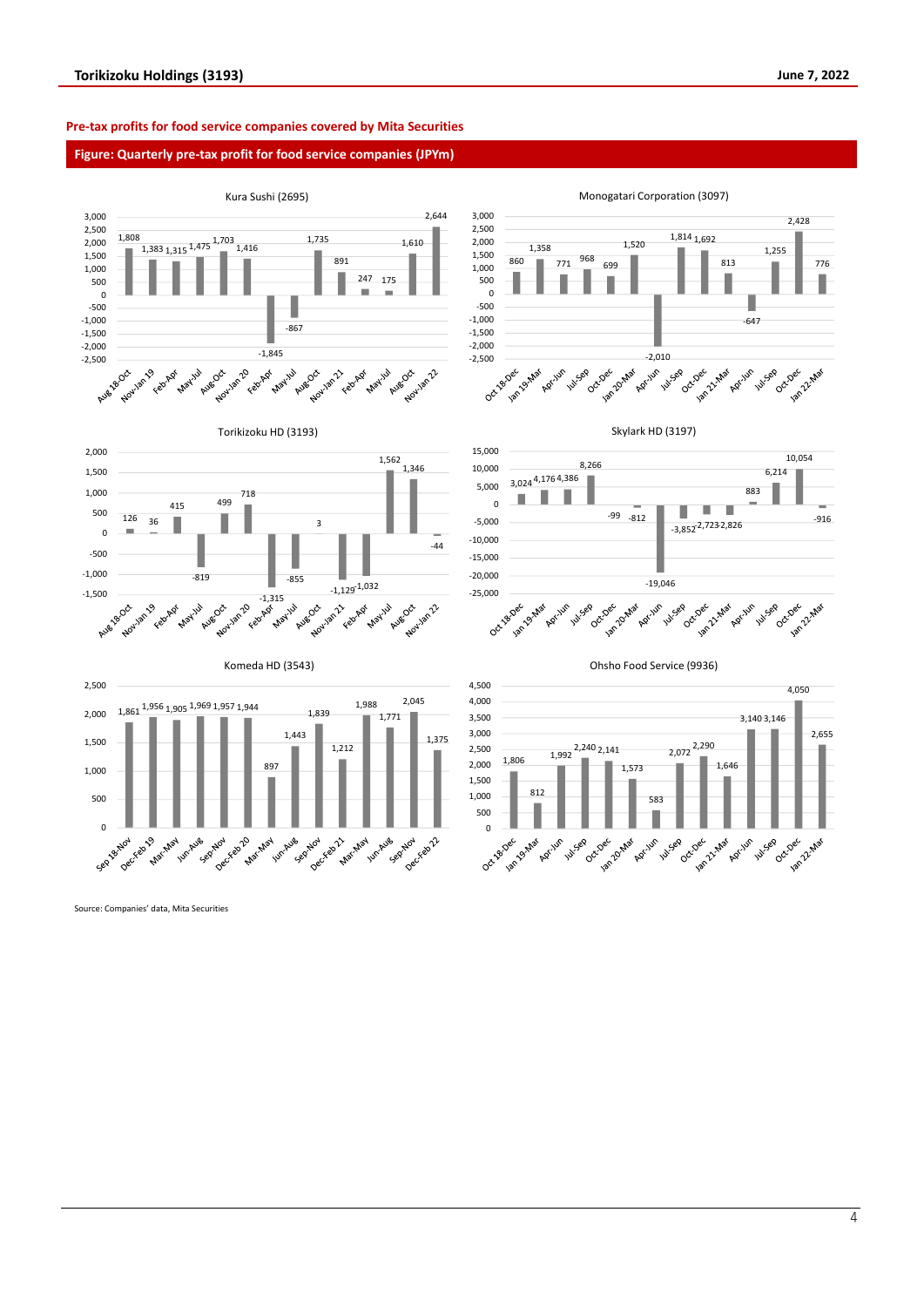#### **Pre-tax profits for food service companies covered by Mita Securities**

#### **Figure: Quarterly pre-tax profit for food service companies (JPYm)**



Source: Companies' data, Mita Securities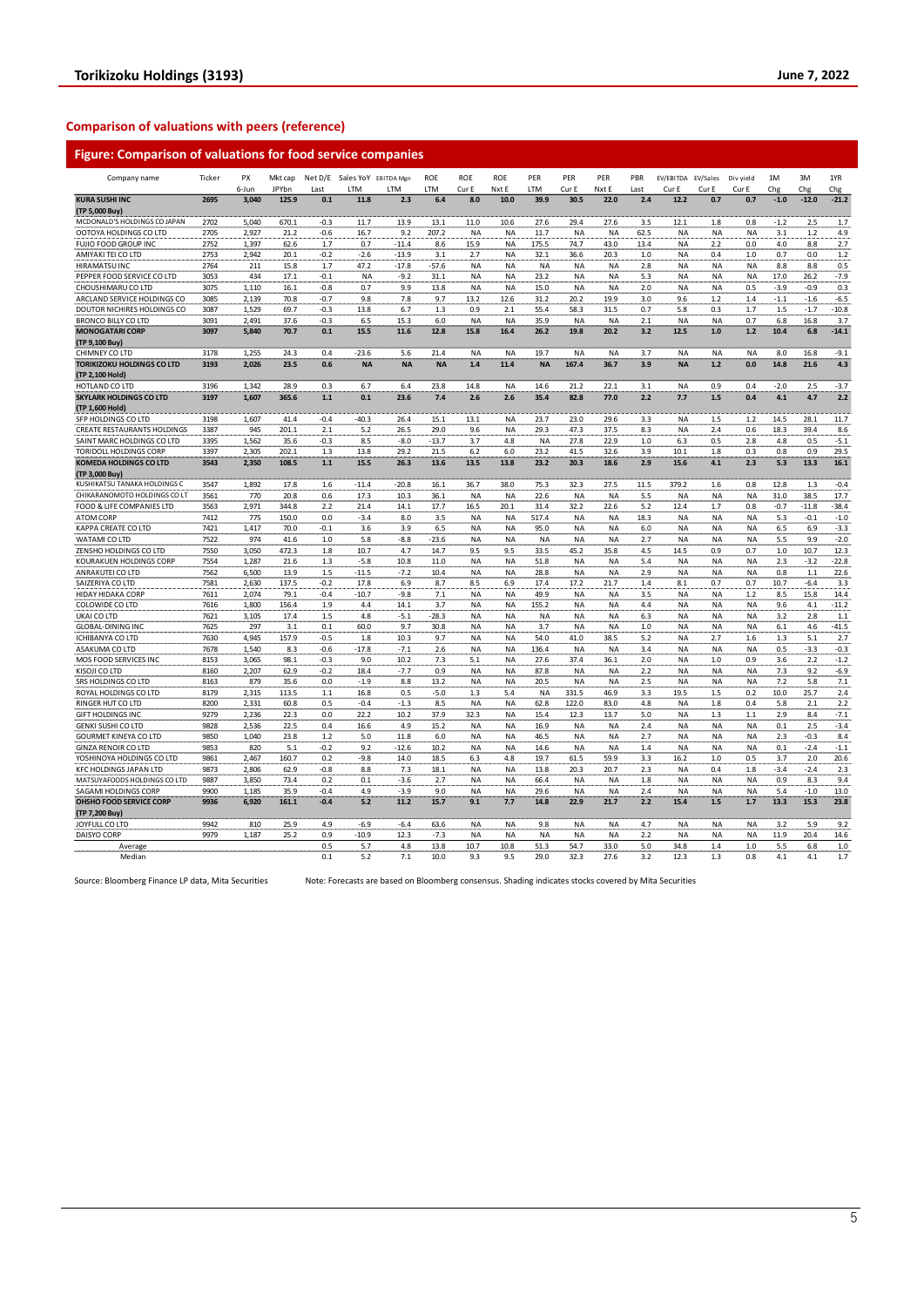#### **Comparison of valuations with peers (reference)**

### **Figure: Comparison of valuations for food service companies**

| Company name                      | Ticker       | PX<br>6-Jun | Mkt cap<br>JPYbn | Last          | Net D/E Sales YoY EBITDA Mgn<br>LTM | <b>ITM</b>      | <b>ROE</b><br>LTM | ROE<br>Cur E | <b>ROE</b><br>Nxt E | PER<br>LTM | PER<br>Cur E | PER<br>Nxt E | PBR<br>Last | EV/EBITDA EV/Sales<br>Cur E | Cur E     | Div yield<br>Cur E     | 1M<br>Chg  | 3M<br>Chg        | 1YR<br>Chg       |
|-----------------------------------|--------------|-------------|------------------|---------------|-------------------------------------|-----------------|-------------------|--------------|---------------------|------------|--------------|--------------|-------------|-----------------------------|-----------|------------------------|------------|------------------|------------------|
| <b>KURA SUSHI INC</b>             | 2695         | 3,040       | 125.9            | 0.1           | 11.8                                | 2.3             | 6.4               | 8.0          | 10.0                | 39.9       | 30.5         | 22.0         | 2.4         | 12.2                        | 0.7       | 0.7                    | $-1.0$     | $-12.0$          | $-21.2$          |
| (TP 5,000 Buy)                    |              |             |                  |               |                                     |                 |                   |              |                     |            |              |              |             |                             |           |                        |            |                  |                  |
| MCDONALD'S HOLDINGS CO JAPAN      | 2702         | 5,040       | 670.1            | $-0.3$        | 11.7                                | 13.9            | 13.1              | 11.0         | 10.6                | 27.6       | 29.4         | 27.6         | 3.5         | 12.1                        | 1.8       | 0.8                    | $-1.2$     | 2.5              | 1.7              |
| OOTOYA HOLDINGS CO LTD            | 2705         | 2,927       | 21.2             | $-0.6$        | 16.7                                | 9.2             | 207.2             | <b>NA</b>    | NA                  | 11.7       | <b>NA</b>    | <b>NA</b>    | 62.5        | <b>NA</b>                   | <b>NA</b> | <b>NA</b>              | 3.1        | 1.2              | 4.9              |
| FUJIO FOOD GROUP INC              | 2752         | 1,397       | 62.6             | 1.7           | 0.7                                 | $-11.4$         | 8.6               | 15.9         | <b>NA</b>           | 175.5      | 74.7         | 43.0         | 13.4        | NA                          | 2.2       | 0.0                    | 4.0        | $8.8\,$          | 2.7              |
| AMIYAKI TEI CO LTD                | 2753         | 2,942       | 20.1             | $-0.2$        | $-2.6$                              | $-13.9$         | 3.1               | 2.7          | <b>NA</b>           | 32.1       | 36.6         | 20.3         | 1.0         | <b>NA</b>                   | 0.4       | 1.0                    | 0.7        | 0.0              | $1.2\,$          |
| <b>HIRAMATSU INC</b>              | 2764         | 211         | 15.8             | 1.7           | 47.2                                | $-17.8$         | -57.6             | NA           | <b>NA</b>           | <b>NA</b>  | <b>NA</b>    | <b>NA</b>    | 2.8         | <b>NA</b>                   | <b>NA</b> | <b>NA</b>              | 8.8        | 8.8              | 0.5              |
| PEPPER FOOD SERVICE CO LTD        | 3053         | 434         | 17.1             | $-0.1$        | <b>NA</b>                           | $-9.2$          | 31.1              | NA           | NA                  | 23.2       | <b>NA</b>    | <b>NA</b>    | 5.3         | <b>NA</b>                   | <b>NA</b> | <b>NA</b>              | 17.0       | 26.2             | $-7.9$           |
| CHOUSHIMARU CO LTD                | 3075         | 1,110       | 16.1             | $-0.8$        | 0.7                                 | 9.9             | 13.8              | <b>NA</b>    | <b>NA</b>           | 15.0       | <b>NA</b>    | <b>NA</b>    | 2.0         | <b>NA</b>                   | <b>NA</b> | 0.5                    | $-3.9$     | $-0.9$           | 0.3              |
| ARCLAND SERVICE HOLDINGS CO       | 3085         | 2,139       | 70.8             | $-0.7$        | 9.8                                 | 7.8             | 9.7               | 13.2         | 12.6                | 31.2       | 20.2         | 19.9         | 3.0         | 9.6                         | 1.2       | 1.4                    | $-1.1$     | $-1.6$           | $-6.5$           |
| DOUTOR NICHIRES HOLDINGS CO       | 3087         | 1,529       | 69.7             | $-0.3$        | 13.8                                | 6.7             | 1.3               | 0.9          | 2.1                 | 55.4       | 58.3         | 31.5         | 0.7         | 5.8                         | 0.3       | 1.7                    | 1.5        | $-1.7$           | $-10.8$          |
| <b>BRONCO BILLY CO LTD</b>        | 3091         | 2,491       | 37.6             | $-0.3$        | 6.5                                 | 15.3            | 6.0               | <b>NA</b>    | <b>NA</b>           | 35.9       | <b>NA</b>    | <b>NA</b>    | 2.1         | <b>NA</b>                   | <b>NA</b> | 0.7                    | 6.8        | 16.8             | 3.7              |
| <b>MONOGATARI CORP</b>            | 3097         | 5.840       | 70.7             | 0.1           | 15.5                                | 11.6            | 12.8              | 15.8         | 16.4                | 26.2       | 19.8         | 20.2         | 3.2         | 12.5                        | 1.0       | 1.2                    | 10.4       | 6.8              | $-14.1$          |
| (TP 9,100 Buy)                    |              |             |                  |               |                                     |                 |                   |              |                     |            |              |              |             |                             |           |                        |            |                  |                  |
| CHIMNEY CO LTD                    | 3178         | 1,255       | 24.3             | 0.4           | $-23.6$                             | 5.6             | 21.4              | <b>NA</b>    | <b>NA</b>           | 19.7       | <b>NA</b>    | <b>NA</b>    | 3.7         | <b>NA</b>                   | <b>NA</b> | <b>NA</b>              | 8.0        | 16.8             | $-9.1$           |
| <b>TORIKIZOKU HOLDINGS CO LTD</b> | 3193         | 2,026       | 23.5             | 0.6           | <b>NA</b>                           | <b>NA</b>       | <b>NA</b>         | 1.4          | 11.4                | <b>NA</b>  | 167.4        | 36.7         | 3.9         | <b>NA</b>                   | $1.2$     | 0.0                    | 14.8       | 21.6             | 4.3              |
| (TP 2,100 Hold)                   |              |             |                  |               |                                     |                 |                   |              |                     |            |              |              |             |                             |           |                        |            |                  |                  |
| HOTLAND CO LTD                    | 3196         | 1,342       | 28.9             | 0.3           | 6.7                                 | 6.4             | 23.8              | 14.8         | <b>NA</b>           | 14.6       | 21.2         | 22.1         | 3.1         | <b>NA</b>                   | 0.9       | 0.4                    | $-2.0$     | 2.5              | $-3.7$           |
| <b>SKYLARK HOLDINGS CO LTD</b>    | 3197         | 1,607       | 365.6            | $1.1$         | 0.1                                 | 23.6            | 7.4               | 2.6          | 2.6                 | 35.4       | 82.8         | 77.0         | 2.2         | 7.7                         | 1.5       | 0.4                    | 4.1        | 4.7              | 2.2              |
| (TP 1,600 Hold)                   |              |             |                  |               |                                     |                 |                   |              |                     |            |              |              |             |                             |           |                        |            |                  |                  |
| SFP HOLDINGS CO LTD               | 3198         | 1,607       | 41.4             | $-0.4$        | $-40.3$                             | 26.4            | 15.1              | 13.1         | NA                  | 23.7       | 23.0         | 29.6         | 3.3         | <b>NA</b>                   | 1.5       | 1.2                    | 14.5       | 28.1             | 11.7             |
| CREATE RESTAURANTS HOLDINGS       | 3387         | 945         | 201.1            | 2.1           | 5.2                                 | 26.5            | 29.0              | 9.6          | <b>NA</b>           | 29.3       | 47.3         | 37.5         | 8.3         | <b>NA</b>                   | 2.4       | 0.6                    | 18.3       | 39.4             | 8.6              |
| SAINT MARC HOLDINGS CO LTD        | 3395         | 1,562       | 35.6             | -0.3          | 8.5                                 | $-8.0$          | $-13.7$           | 3.7          | 4.8                 | <b>NA</b>  | 27.8         | 22.9         | 1.0         | 6.3                         | 0.5       | 2.8                    | 4.8        | 0.5              | $-5.1$           |
| TORIDOLL HOLDINGS CORP            | 3397         | 2,305       | 202.1            | 1.3           | 13.8                                | 29.2            | 21.5              | 6.2          | 6.0                 | 23.2       | 41.5         | 32.6         | 3.9         | 10.1                        | 1.8       | 0.3                    | 0.8        | 0.9              | 29.5             |
| <b>KOMEDA HOLDINGS CO LTD</b>     | 3543         | 2,350       | 108.5            | 1.1           | 15.5                                | 26.3            | 13.6              | 13.5         | 13.8                | 23.2       | 20.3         | 18.6         | 2.9         | 15.6                        | 4.1       | 2.3                    | 5.3        | 13.3             | 16.1             |
| (TP 3,000 Buy)                    |              |             |                  |               |                                     |                 |                   |              |                     |            |              |              |             |                             |           |                        |            |                  |                  |
| KUSHIKATSU TANAKA HOLDINGS C      | 3547         | 1,892       | 17.8             | 1.6           | $-11.4$                             | $-20.8$         | 16.1              | 36.7         | 38.0                | 75.3       | 32.3         | 27.5         | 11.5        | 379.2                       | 1.6       | 0.8                    | 12.8       | 1.3              | $-0.4$           |
| CHIKARANOMOTO HOLDINGS CO LT      | 3561         | 770         | 20.8             | 0.6           | 17.3                                | 10.3            | 36.1              | <b>NA</b>    | <b>NA</b>           | 22.6       | <b>NA</b>    | <b>NA</b>    | 5.5         | <b>NA</b>                   | <b>NA</b> | <b>NA</b>              | 31.0       | 38.5             | 17.7             |
| FOOD & LIFE COMPANIES LTD         | 3563         | 2,971       | 344.8            | 2.2           | 21.4                                | 14.1            | 17.7              | 16.5         | 20.1                | 31.4       | 32.2         | 22.6         | 5.2         | 12.4                        | 1.7       | 0.8                    | $-0.7$     | $-11.8$          | $-38.4$          |
| ATOM CORP                         | 7412         | 775         | 150.0            | 0.0           | $-3.4$                              | 8.0             | 3.5               | <b>NA</b>    | <b>NA</b>           | 517.4      | <b>NA</b>    | <b>NA</b>    | 18.3        | <b>NA</b>                   | <b>NA</b> | <b>NA</b>              | 5.3        | $-0.1$           | $-1.0$           |
| KAPPA CREATE CO LTD               | 7421         | 1,417       | 70.0             | $-0.1$        | 3.6                                 | 3.9             | 6.5               | <b>NA</b>    | NA                  | 95.0       | <b>NA</b>    | <b>NA</b>    | 6.0         | NA                          | <b>NA</b> | <b>NA</b>              | 6.5        | 6.9              | $-3.3$           |
| WATAMI CO LTD                     | 7522         | 974         | 41.6             | 1.0           | 5.8                                 | -8.8            | -23.6             | <b>NA</b>    | <b>NA</b>           | NA         | NA           | NA           | 2.7         | NA                          | NA        | <b>NA</b>              | 5.5        | 9.9              | $-2.0$           |
| ZENSHO HOLDINGS CO LTD            | 7550         | 3,050       | 472.3            | 1.8           | 10.7                                | 4.7             | 14.7              | 9.5          | 9.5                 | 33.5       | 45.2         | 35.8         | 4.5         | 14.5                        | 0.9       | 0.7                    | 1.0        | 10.7             | 12.3             |
| KOURAKUEN HOLDINGS CORP           | 7554         | 1,287       | 21.6             | 1.3           | $-5.8$                              | 10.8            | 11.0              | NA           | <b>NA</b>           | 51.8       | NA           | <b>NA</b>    | 5.4         | <b>NA</b>                   | NA        | NA                     | 2.3        | $-3.2$           | $-22.8$          |
| ANRAKUTEI CO LTD                  | 7562         | 6,500       | 13.9             | 1.5           | $-11.5$                             | $-7.2$          | 10.4              | NA           | <b>NA</b>           | 28.8       | <b>NA</b>    | <b>NA</b>    | 2.9         | <b>NA</b>                   | <b>NA</b> | <b>NA</b>              | 0.8        | 1.1              | 22.6             |
| SAIZERIYA CO LTD                  | 7581         | 2,630       | 137.5            | $-0.2$        | 17.8                                | 6.9             | 8.7               | 8.5          | 6.9                 | 17.4       | 17.2         | 21.7         | 1.4         | 8.1                         | 0.7       | 0.7                    | 10.7       | $-6.4$           | 3.3              |
| HIDAY HIDAKA CORP                 | 7611         | 2,074       | 79.1             | $-0.4$        | $-10.7$                             | -9.8            | 7.1               | <b>NA</b>    | <b>NA</b>           | 49.9       | NA           | <b>NA</b>    | 3.5         | <b>NA</b>                   | NA        | 1.2                    | 8.5        | 15.8             | 14.4             |
| COLOWIDE CO LTD                   | 7616         | 1,800       | 156.4            | 1.9           | 4.4                                 | 14.1            | 3.7               | NA           | <b>NA</b>           | 155.2      | <b>NA</b>    | <b>NA</b>    | 4.4         | <b>NA</b>                   | <b>NA</b> | <b>NA</b>              | 9.6        | 4.1              | $-11.2$          |
| UKAI CO LTD                       | 7621         | 3,105       | 17.4             | 1.5           | 4.8                                 | $-5.1$          | $-28.3$           | NA           | <b>NA</b>           | <b>NA</b>  | <b>NA</b>    | <b>NA</b>    | 6.3         | <b>NA</b>                   | <b>NA</b> | <b>NA</b>              | 3.2        | 2.8              | 1.1              |
| <b>GLOBAL-DINING INC</b>          | 7625         | 297         | 3.1              | 0.1           | 60.0                                | 9.7             | 30.8              | <b>NA</b>    | <b>NA</b>           | 3.7        | <b>NA</b>    | <b>NA</b>    | 1.0         | <b>NA</b>                   | <b>NA</b> | <b>NA</b>              | 6.1        | 4.6              | $-41.5$          |
| <b>ICHIBANYA CO LTD</b>           | 7630         | 4,945       | 157.9            | $-0.5$        | 1.8                                 | 10.3            | 9.7               | <b>NA</b>    | <b>NA</b>           | 54.0       | 41.0         | 38.5         | 5.2         | <b>NA</b>                   | 2.7       | 1.6                    | 1.3        | 5.1              | 2.7              |
| ASAKUMA CO LTD                    | 7678         | 1,540       | 8.3              | $-0.6$        | $-17.8$                             | $-7.1$          | 2.6               | <b>NA</b>    | <b>NA</b>           | 136.4      | <b>NA</b>    | <b>NA</b>    | 3.4         | <b>NA</b>                   | <b>NA</b> | <b>NA</b>              | 0.5        | $-3.3$           | $-0.3$           |
| MOS FOOD SERVICES INC             | 8153         | 3,065       | 98.1             | -0.3          | 9.0                                 | 10.2            | 7.3               | 5.1          | <b>NA</b>           | 27.6       | 37.4         | 36.1         | 2.0         | <b>NA</b>                   | 1.0       | 0.9                    | 3.6        | 2.2              | $-1.2$           |
| KISOJI CO LTD                     | 8160         | 2,207       | 62.9             | $-0.2$        | 18.4                                | $-7.7$          | 0.9               | <b>NA</b>    | <b>NA</b>           | 87.8       | <b>NA</b>    | <b>NA</b>    | 2.2         | <b>NA</b>                   | <b>NA</b> | <b>NA</b>              | 7.3        | 9.2              | $-6.9$           |
| SRS HOLDINGS CO LTD               | 8163         | 879         | 35.6             | 0.0           | $-1.9$                              | 8.8             | 13.2              | <b>NA</b>    | <b>NA</b>           | 20.5       | <b>NA</b>    | <b>NA</b>    | 2.5         | <b>NA</b>                   | <b>NA</b> | <b>NA</b>              | 7.2        | 5.8              | 7.1              |
| ROYAL HOLDINGS CO LTD             | 8179         | 2,315       | 113.5            | $1.1\,$       | 16.8                                | 0.5             | $-5.0$            | 1.3          | 5.4                 | <b>NA</b>  | 331.5        | 46.9         | 3.3         | 19.5                        | 1.5       | 0.2                    | 10.0       | 25.7             | 2.4              |
| RINGER HUT CO LTD                 | 8200         | 2,331       | 60.8             | 0.5           | $-0.4$                              | $-1.3$          | 8.5               | NA           | <b>NA</b>           | 62.8       | 122.0        | 83.0         | 4.8         | <b>NA</b>                   | $1.8\,$   | 0.4                    | 5.8        | 2.1              | 2.2              |
| <b>GIFT HOLDINGS INC</b>          | 9279         | 2,236       | 22.3             | 0.0           | 22.2                                | 10.2            | 37.9              | 32.3         | NA                  | 15.4       | 12.3         | 13.7         | 5.0         | <b>NA</b>                   | 1.3       | 1.1                    | 2.9        | 8.4              |                  |
|                                   |              |             |                  |               |                                     |                 |                   |              |                     |            |              |              |             |                             |           |                        |            |                  | $-7.1$<br>$-3.4$ |
| <b>GENKI SUSHI CO LTD</b>         | 9828         | 2,536       | 22.5             | 0.4           | 16.6                                | 4.9             | 15.2              | NA           | NA                  | 16.9       | <b>NA</b>    | <b>NA</b>    | 2.4         | <b>NA</b>                   | <b>NA</b> | <b>NA</b>              | 0.1        | 2.5              |                  |
| GOURMET KINEYA CO LTD             | 9850<br>9853 | 1,040       | 23.8             | 1.2<br>$-0.2$ | 5.0<br>9.2                          | 11.8<br>$-12.6$ | 6.0<br>10.2       | NA           | <b>NA</b>           | 46.5       | <b>NA</b>    | <b>NA</b>    | 2.7<br>1.4  | <b>NA</b>                   | <b>NA</b> | <b>NA</b><br><b>NA</b> | 2.3<br>0.1 | $-0.3$<br>$-2.4$ | 8.4<br>$-1.1$    |
| <b>GINZA RENOIR CO LTD</b>        |              | 820         | 5.1              |               |                                     |                 |                   | NA           | NA                  | 14.6       | <b>NA</b>    | <b>NA</b>    |             | <b>NA</b>                   | <b>NA</b> |                        |            | 2.0              |                  |
| YOSHINOYA HOLDINGS CO LTD         | 9861         | 2,467       | 160.7            | 0.2           | $-9.8$                              | 14.0            | 18.5              | 6.3          | 4.8                 | 19.7       | 61.5         | 59.9         | 3.3         | 16.2                        | $1.0\,$   | 0.5                    | 3.7        |                  | 20.6             |
| KFC HOLDINGS JAPAN LTD            | 9873         | 2,806       | 62.9             | $-0.8$        | 8.8                                 | 7.3             | 18.1              | <b>NA</b>    | <b>NA</b>           | 13.8       | 20.3         | 20.7         | 2.3         | <b>NA</b>                   | 0.4       | 1.8                    | $-3.4$     | $-2.4$           | 2.3              |
| MATSUYAFOODS HOLDINGS CO LTD      | 9887         | 3,850       | 73.4             | 0.2           | 0.1                                 | $-3.6$          | 2.7               | <b>NA</b>    | <b>NA</b>           | 66.4       | <b>NA</b>    | <b>NA</b>    | 1.8         | <b>NA</b>                   | <b>NA</b> | <b>NA</b>              | 0.9        | 8.3              | 9.4              |
| SAGAMI HOLDINGS CORP              | 9900         | 1,185       | 35.9             | $-0.4$        | 4.9                                 | $-3.9$          | 9.0               | <b>NA</b>    | NA                  | 29.6       | <b>NA</b>    | <b>NA</b>    | 2.4         | <b>NA</b>                   | <b>NA</b> | <b>NA</b>              | 5.4        | $-1.0$           | 13.0             |
| OHSHO FOOD SERVICE CORP           | 9936         | 6,920       | 161.1            | $-0.4$        | 5.2                                 | 11.2            | 15.7              | 9.1          | 7.7                 | 14.8       | 22.9         | 21.7         | 2.2         | 15.4                        | 1.5       | 1.7                    | 13.3       | 15.3             | 23.8             |
| (TP 7,200 Buy)                    |              |             |                  |               |                                     |                 |                   |              |                     |            |              |              |             |                             |           |                        |            |                  |                  |
| JOYFULL CO LTD                    | 9942         | 810         | 25.9             | 4.9           | $-6.9$                              | $-6.4$          | 63.6              | <b>NA</b>    | <b>NA</b>           | 9.8        | <b>NA</b>    | <b>NA</b>    | 4.7         | <b>NA</b>                   | <b>NA</b> | <b>NA</b>              | 3.2        | 5.9              | 9.2              |
| DAISYO CORP                       | 9979         | 1,187       | 25.2             | 0.9           | $-10.9$                             | 12.3            | $-7.3$            | NA           | <b>NA</b>           | <b>NA</b>  | <b>NA</b>    | <b>NA</b>    | 2.2         | <b>NA</b>                   | <b>NA</b> | <b>NA</b>              | 11.9       | 20.4             | 14.6             |
| Average                           |              |             |                  | 0.5           | 5.7                                 | 4.8             | 13.8              | 10.7         | 10.8                | 51.3       | 54.7         | 33.0         | 5.0         | 34.8                        | 1.4       | 1.0                    | 5.5        | 6.8              | 1.0              |
| Median                            |              |             |                  | 0.1           | 5.2                                 | 7.1             | 10.0              | 9.3          | 9.5                 | 29.0       | 32.3         | 27.6         | 3.2         | 12.3                        | 1.3       | 0.8                    | 4.1        | 4.1              | 1.7              |

Source: Bloomberg Finance LP data, Mita Securities Note: Forecasts are based on Bloomberg consensus. Shading indicates stocks covered by Mita Securities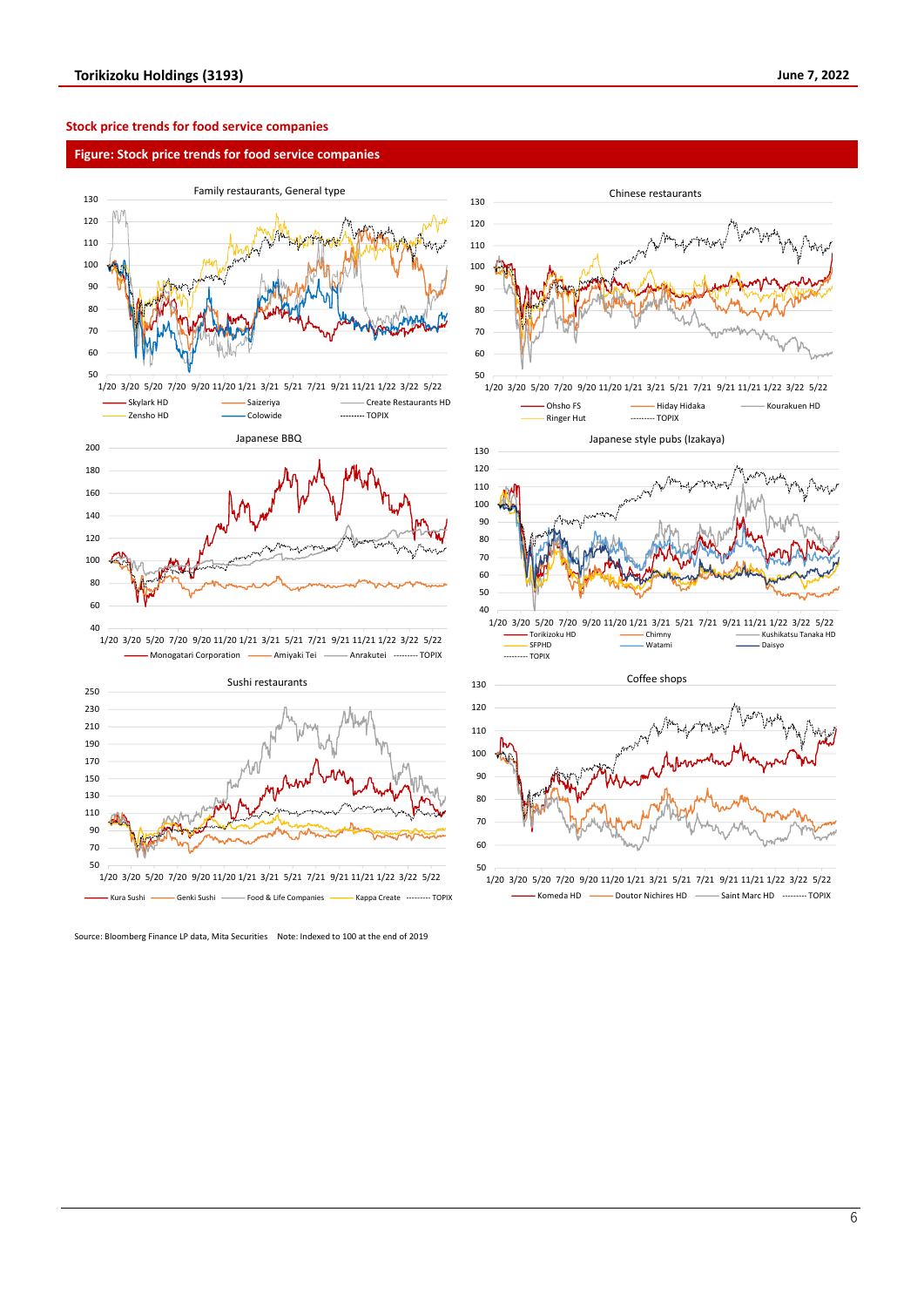#### **Stock price trends for food service companies**

#### **Figure: Stock price trends for food service companies**





Source: Bloomberg Finance LP data, Mita Securities Note: Indexed to 100 at the end of 2019